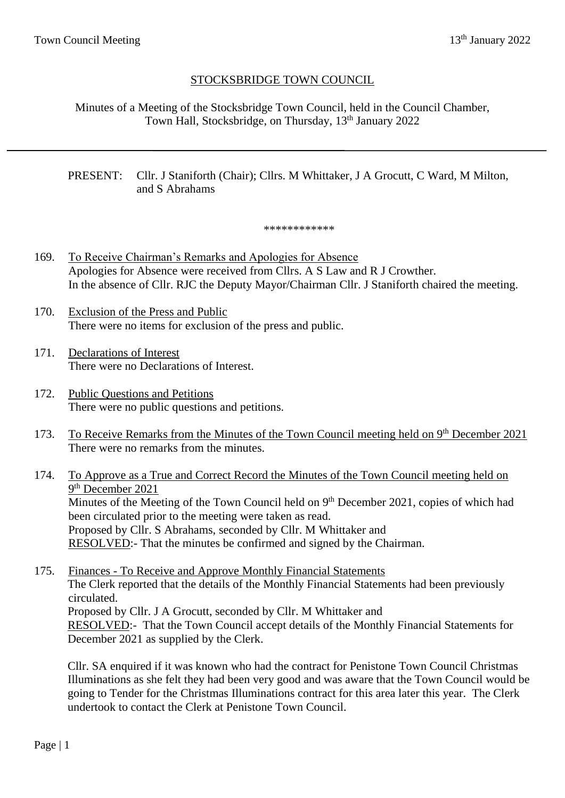## STOCKSBRIDGE TOWN COUNCIL

Minutes of a Meeting of the Stocksbridge Town Council, held in the Council Chamber, Town Hall, Stocksbridge, on Thursday, 13<sup>th</sup> January 2022

#### PRESENT: Cllr. J Staniforth (Chair); Cllrs. M Whittaker, J A Grocutt, C Ward, M Milton, and S Abrahams

\*\*\*\*\*\*\*\*\*\*\*\*

- 169. To Receive Chairman's Remarks and Apologies for Absence Apologies for Absence were received from Cllrs. A S Law and R J Crowther. In the absence of Cllr. RJC the Deputy Mayor/Chairman Cllr. J Staniforth chaired the meeting.
- 170. Exclusion of the Press and Public There were no items for exclusion of the press and public.
- 171. Declarations of Interest There were no Declarations of Interest.
- 172. Public Questions and Petitions There were no public questions and petitions.
- 173. To Receive Remarks from the Minutes of the Town Council meeting held on 9<sup>th</sup> December 2021 There were no remarks from the minutes.
- 174. To Approve as a True and Correct Record the Minutes of the Town Council meeting held on 9<sup>th</sup> December 2021 Minutes of the Meeting of the Town Council held on 9<sup>th</sup> December 2021, copies of which had been circulated prior to the meeting were taken as read. Proposed by Cllr. S Abrahams, seconded by Cllr. M Whittaker and RESOLVED:- That the minutes be confirmed and signed by the Chairman.
- 175. Finances To Receive and Approve Monthly Financial Statements The Clerk reported that the details of the Monthly Financial Statements had been previously circulated. Proposed by Cllr. J A Grocutt, seconded by Cllr. M Whittaker and RESOLVED:- That the Town Council accept details of the Monthly Financial Statements for December 2021 as supplied by the Clerk.

Cllr. SA enquired if it was known who had the contract for Penistone Town Council Christmas Illuminations as she felt they had been very good and was aware that the Town Council would be going to Tender for the Christmas Illuminations contract for this area later this year. The Clerk undertook to contact the Clerk at Penistone Town Council.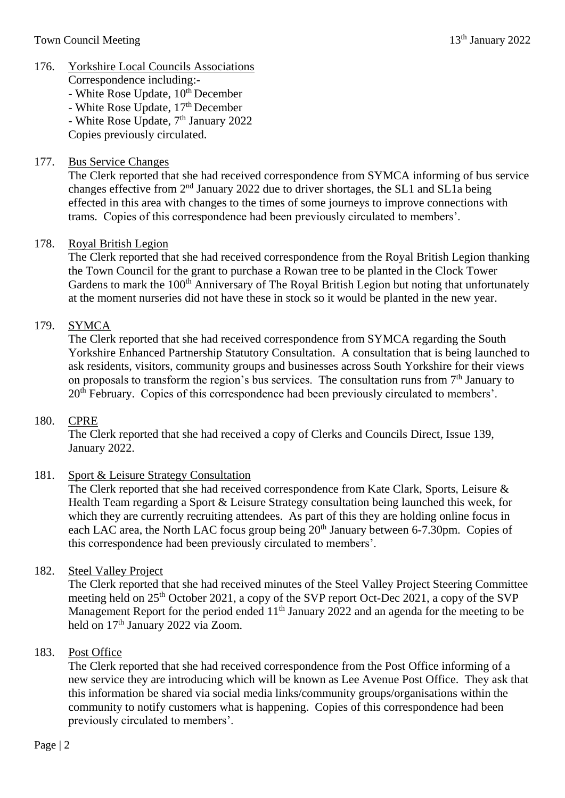## 176. Yorkshire Local Councils Associations

Correspondence including:-  $-$  White Rose Update,  $10<sup>th</sup>$  December - White Rose Update, 17<sup>th</sup> December - White Rose Update, 7<sup>th</sup> January 2022

Copies previously circulated.

## 177. Bus Service Changes

The Clerk reported that she had received correspondence from SYMCA informing of bus service changes effective from 2nd January 2022 due to driver shortages, the SL1 and SL1a being effected in this area with changes to the times of some journeys to improve connections with trams. Copies of this correspondence had been previously circulated to members'.

## 178. Royal British Legion

The Clerk reported that she had received correspondence from the Royal British Legion thanking the Town Council for the grant to purchase a Rowan tree to be planted in the Clock Tower Gardens to mark the 100<sup>th</sup> Anniversary of The Royal British Legion but noting that unfortunately at the moment nurseries did not have these in stock so it would be planted in the new year.

## 179. SYMCA

The Clerk reported that she had received correspondence from SYMCA regarding the South Yorkshire Enhanced Partnership Statutory Consultation. A consultation that is being launched to ask residents, visitors, community groups and businesses across South Yorkshire for their views on proposals to transform the region's bus services. The consultation runs from  $7<sup>th</sup>$  January to 20<sup>th</sup> February. Copies of this correspondence had been previously circulated to members'.

## 180. CPRE

The Clerk reported that she had received a copy of Clerks and Councils Direct, Issue 139, January 2022.

## 181. Sport & Leisure Strategy Consultation

The Clerk reported that she had received correspondence from Kate Clark, Sports, Leisure & Health Team regarding a Sport & Leisure Strategy consultation being launched this week, for which they are currently recruiting attendees. As part of this they are holding online focus in each LAC area, the North LAC focus group being 20<sup>th</sup> January between 6-7.30pm. Copies of this correspondence had been previously circulated to members'.

## 182. Steel Valley Project

The Clerk reported that she had received minutes of the Steel Valley Project Steering Committee meeting held on 25<sup>th</sup> October 2021, a copy of the SVP report Oct-Dec 2021, a copy of the SVP Management Report for the period ended  $11<sup>th</sup>$  January 2022 and an agenda for the meeting to be held on 17<sup>th</sup> January 2022 via Zoom.

## 183. Post Office

The Clerk reported that she had received correspondence from the Post Office informing of a new service they are introducing which will be known as Lee Avenue Post Office. They ask that this information be shared via social media links/community groups/organisations within the community to notify customers what is happening. Copies of this correspondence had been previously circulated to members'.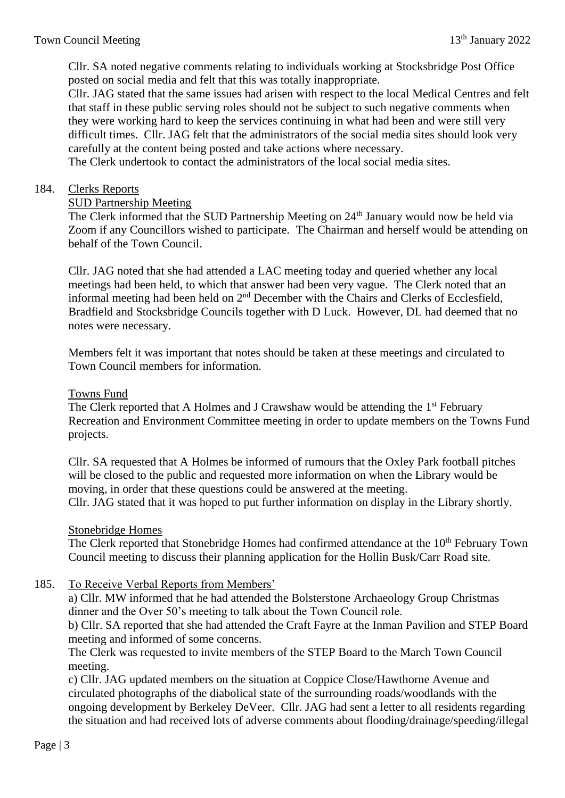Cllr. SA noted negative comments relating to individuals working at Stocksbridge Post Office posted on social media and felt that this was totally inappropriate.

Cllr. JAG stated that the same issues had arisen with respect to the local Medical Centres and felt that staff in these public serving roles should not be subject to such negative comments when they were working hard to keep the services continuing in what had been and were still very difficult times. Cllr. JAG felt that the administrators of the social media sites should look very carefully at the content being posted and take actions where necessary.

The Clerk undertook to contact the administrators of the local social media sites.

#### 184. Clerks Reports

#### SUD Partnership Meeting

The Clerk informed that the SUD Partnership Meeting on 24<sup>th</sup> January would now be held via Zoom if any Councillors wished to participate. The Chairman and herself would be attending on behalf of the Town Council.

Cllr. JAG noted that she had attended a LAC meeting today and queried whether any local meetings had been held, to which that answer had been very vague. The Clerk noted that an informal meeting had been held on  $2<sup>nd</sup>$  December with the Chairs and Clerks of Ecclesfield, Bradfield and Stocksbridge Councils together with D Luck. However, DL had deemed that no notes were necessary.

Members felt it was important that notes should be taken at these meetings and circulated to Town Council members for information.

#### Towns Fund

The Clerk reported that A Holmes and J Crawshaw would be attending the 1<sup>st</sup> February Recreation and Environment Committee meeting in order to update members on the Towns Fund projects.

Cllr. SA requested that A Holmes be informed of rumours that the Oxley Park football pitches will be closed to the public and requested more information on when the Library would be moving, in order that these questions could be answered at the meeting. Cllr. JAG stated that it was hoped to put further information on display in the Library shortly.

#### Stonebridge Homes

The Clerk reported that Stonebridge Homes had confirmed attendance at the 10<sup>th</sup> February Town Council meeting to discuss their planning application for the Hollin Busk/Carr Road site.

#### 185. To Receive Verbal Reports from Members'

a) Cllr. MW informed that he had attended the Bolsterstone Archaeology Group Christmas dinner and the Over 50's meeting to talk about the Town Council role.

b) Cllr. SA reported that she had attended the Craft Fayre at the Inman Pavilion and STEP Board meeting and informed of some concerns.

The Clerk was requested to invite members of the STEP Board to the March Town Council meeting.

c) Cllr. JAG updated members on the situation at Coppice Close/Hawthorne Avenue and circulated photographs of the diabolical state of the surrounding roads/woodlands with the ongoing development by Berkeley DeVeer. Cllr. JAG had sent a letter to all residents regarding the situation and had received lots of adverse comments about flooding/drainage/speeding/illegal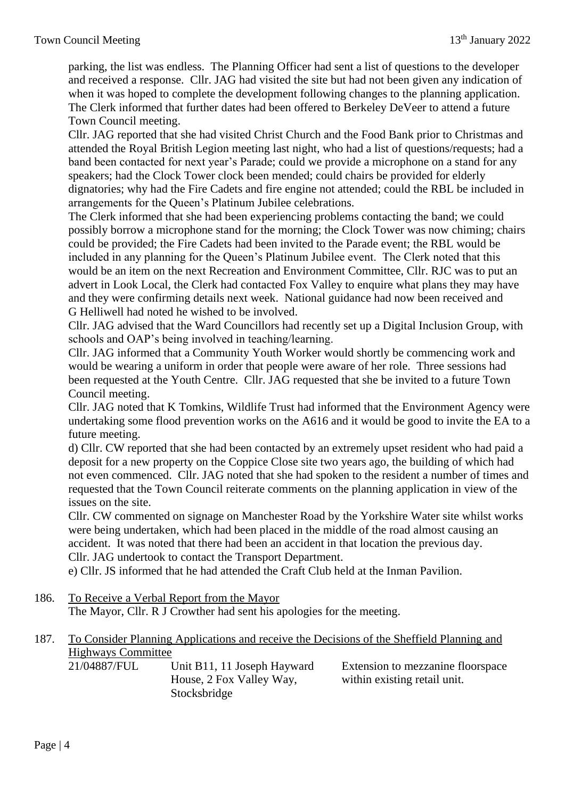parking, the list was endless. The Planning Officer had sent a list of questions to the developer and received a response. Cllr. JAG had visited the site but had not been given any indication of when it was hoped to complete the development following changes to the planning application. The Clerk informed that further dates had been offered to Berkeley DeVeer to attend a future Town Council meeting.

Cllr. JAG reported that she had visited Christ Church and the Food Bank prior to Christmas and attended the Royal British Legion meeting last night, who had a list of questions/requests; had a band been contacted for next year's Parade; could we provide a microphone on a stand for any speakers; had the Clock Tower clock been mended; could chairs be provided for elderly dignatories; why had the Fire Cadets and fire engine not attended; could the RBL be included in arrangements for the Queen's Platinum Jubilee celebrations.

The Clerk informed that she had been experiencing problems contacting the band; we could possibly borrow a microphone stand for the morning; the Clock Tower was now chiming; chairs could be provided; the Fire Cadets had been invited to the Parade event; the RBL would be included in any planning for the Queen's Platinum Jubilee event. The Clerk noted that this would be an item on the next Recreation and Environment Committee, Cllr. RJC was to put an advert in Look Local, the Clerk had contacted Fox Valley to enquire what plans they may have and they were confirming details next week. National guidance had now been received and G Helliwell had noted he wished to be involved.

Cllr. JAG advised that the Ward Councillors had recently set up a Digital Inclusion Group, with schools and OAP's being involved in teaching/learning.

Cllr. JAG informed that a Community Youth Worker would shortly be commencing work and would be wearing a uniform in order that people were aware of her role. Three sessions had been requested at the Youth Centre. Cllr. JAG requested that she be invited to a future Town Council meeting.

Cllr. JAG noted that K Tomkins, Wildlife Trust had informed that the Environment Agency were undertaking some flood prevention works on the A616 and it would be good to invite the EA to a future meeting.

d) Cllr. CW reported that she had been contacted by an extremely upset resident who had paid a deposit for a new property on the Coppice Close site two years ago, the building of which had not even commenced. Cllr. JAG noted that she had spoken to the resident a number of times and requested that the Town Council reiterate comments on the planning application in view of the issues on the site.

Cllr. CW commented on signage on Manchester Road by the Yorkshire Water site whilst works were being undertaken, which had been placed in the middle of the road almost causing an accident. It was noted that there had been an accident in that location the previous day. Cllr. JAG undertook to contact the Transport Department.

e) Cllr. JS informed that he had attended the Craft Club held at the Inman Pavilion.

- 186. To Receive a Verbal Report from the Mayor The Mayor, Cllr. R J Crowther had sent his apologies for the meeting.
- 187. To Consider Planning Applications and receive the Decisions of the Sheffield Planning and Highways Committee

| 21/04887/FUL | Unit B11, 11 Joseph Hayward | Extension to mezzanine floorspace |
|--------------|-----------------------------|-----------------------------------|
|              | House, 2 Fox Valley Way,    | within existing retail unit.      |
|              | Stocksbridge                |                                   |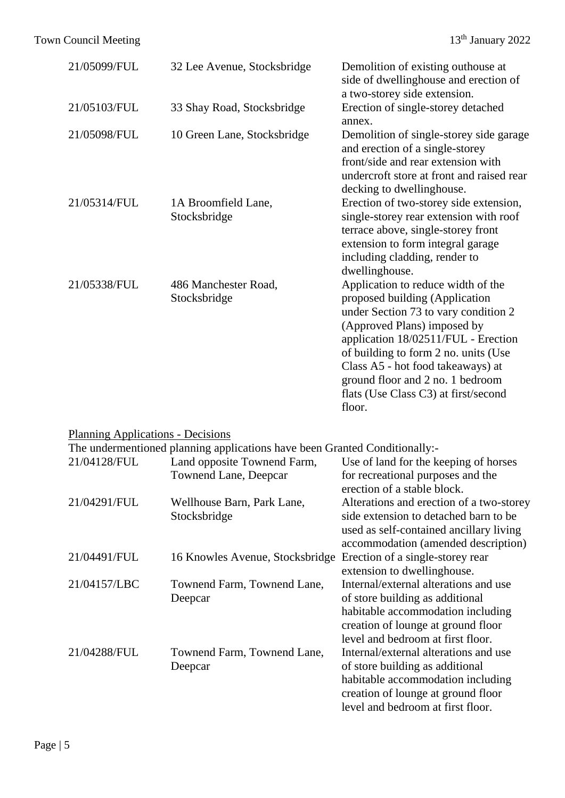# Town Council Meeting 13<sup>th</sup> January 2022

| 21/05099/FUL                                                               | 32 Lee Avenue, Stocksbridge          | Demolition of existing outhouse at<br>side of dwellinghouse and erection of<br>a two-storey side extension.                                                                                                                                                                                                                                           |  |  |
|----------------------------------------------------------------------------|--------------------------------------|-------------------------------------------------------------------------------------------------------------------------------------------------------------------------------------------------------------------------------------------------------------------------------------------------------------------------------------------------------|--|--|
| 21/05103/FUL                                                               | 33 Shay Road, Stocksbridge           | Erection of single-storey detached<br>annex.                                                                                                                                                                                                                                                                                                          |  |  |
| 21/05098/FUL                                                               | 10 Green Lane, Stocksbridge          | Demolition of single-storey side garage<br>and erection of a single-storey<br>front/side and rear extension with<br>undercroft store at front and raised rear<br>decking to dwellinghouse.                                                                                                                                                            |  |  |
| 21/05314/FUL                                                               | 1A Broomfield Lane,<br>Stocksbridge  | Erection of two-storey side extension,<br>single-storey rear extension with roof<br>terrace above, single-storey front<br>extension to form integral garage<br>including cladding, render to<br>dwellinghouse.                                                                                                                                        |  |  |
| 21/05338/FUL                                                               | 486 Manchester Road,<br>Stocksbridge | Application to reduce width of the<br>proposed building (Application<br>under Section 73 to vary condition 2<br>(Approved Plans) imposed by<br>application 18/02511/FUL - Erection<br>of building to form 2 no. units (Use<br>Class A5 - hot food takeaways) at<br>ground floor and 2 no. 1 bedroom<br>flats (Use Class C3) at first/second<br>floor. |  |  |
| <b>Planning Applications - Decisions</b>                                   |                                      |                                                                                                                                                                                                                                                                                                                                                       |  |  |
| The undermentioned planning applications have been Granted Conditionally:- |                                      |                                                                                                                                                                                                                                                                                                                                                       |  |  |
| 21/04128/FUL                                                               | Land opposite Townend Farm,          | Use of land for the keeping of horses                                                                                                                                                                                                                                                                                                                 |  |  |

|              | Townend Lane, Deepcar           | for recreational purposes and the<br>erection of a stable block. |  |  |
|--------------|---------------------------------|------------------------------------------------------------------|--|--|
| 21/04291/FUL | Wellhouse Barn, Park Lane,      | Alterations and erection of a two-storey                         |  |  |
|              | Stocksbridge                    | side extension to detached barn to be                            |  |  |
|              |                                 | used as self-contained ancillary living                          |  |  |
|              |                                 | accommodation (amended description)                              |  |  |
| 21/04491/FUL | 16 Knowles Avenue, Stocksbridge | Erection of a single-storey rear                                 |  |  |
|              |                                 | extension to dwellinghouse.                                      |  |  |
| 21/04157/LBC | Townend Farm, Townend Lane,     | Internal/external alterations and use                            |  |  |
|              | Deepcar                         | of store building as additional                                  |  |  |
|              |                                 | habitable accommodation including                                |  |  |
|              |                                 | creation of lounge at ground floor                               |  |  |
|              |                                 | level and bedroom at first floor.                                |  |  |
| 21/04288/FUL | Townend Farm, Townend Lane,     | Internal/external alterations and use                            |  |  |
|              | Deepcar                         | of store building as additional                                  |  |  |
|              |                                 | habitable accommodation including                                |  |  |
|              |                                 | creation of lounge at ground floor                               |  |  |
|              |                                 | level and bedroom at first floor.                                |  |  |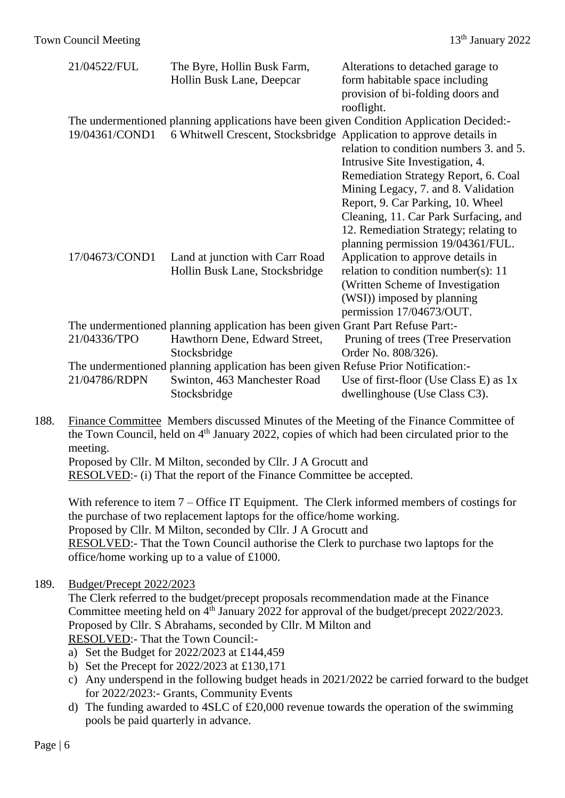| 21/04522/FUL   | The Byre, Hollin Busk Farm,<br>Hollin Busk Lane, Deepcar                           | Alterations to detached garage to<br>form habitable space including<br>provision of bi-folding doors and<br>rooflight. |
|----------------|------------------------------------------------------------------------------------|------------------------------------------------------------------------------------------------------------------------|
|                |                                                                                    | The undermentioned planning applications have been given Condition Application Decided:-                               |
| 19/04361/COND1 | 6 Whitwell Crescent, Stocksbridge Application to approve details in                | relation to condition numbers 3, and 5.<br>Intrusive Site Investigation, 4.                                            |
|                |                                                                                    | Remediation Strategy Report, 6. Coal                                                                                   |
|                |                                                                                    | Mining Legacy, 7. and 8. Validation                                                                                    |
|                |                                                                                    | Report, 9. Car Parking, 10. Wheel                                                                                      |
|                |                                                                                    | Cleaning, 11. Car Park Surfacing, and                                                                                  |
|                |                                                                                    | 12. Remediation Strategy; relating to                                                                                  |
|                |                                                                                    | planning permission 19/04361/FUL.                                                                                      |
| 17/04673/COND1 | Land at junction with Carr Road                                                    | Application to approve details in                                                                                      |
|                | Hollin Busk Lane, Stocksbridge                                                     | relation to condition number(s): $11$                                                                                  |
|                |                                                                                    | (Written Scheme of Investigation                                                                                       |
|                |                                                                                    | (WSI)) imposed by planning                                                                                             |
|                |                                                                                    | permission 17/04673/OUT.                                                                                               |
|                | The undermentioned planning application has been given Grant Part Refuse Part:-    |                                                                                                                        |
| 21/04336/TPO   | Hawthorn Dene, Edward Street,                                                      | Pruning of trees (Tree Preservation)                                                                                   |
|                | Stocksbridge                                                                       | Order No. 808/326).                                                                                                    |
|                | The undermentioned planning application has been given Refuse Prior Notification:- |                                                                                                                        |
| 21/04786/RDPN  | Swinton, 463 Manchester Road                                                       | Use of first-floor (Use Class E) as $1x$                                                                               |
|                | Stocksbridge                                                                       | dwellinghouse (Use Class C3).                                                                                          |

188. Finance Committee Members discussed Minutes of the Meeting of the Finance Committee of the Town Council, held on 4<sup>th</sup> January 2022, copies of which had been circulated prior to the meeting. Proposed by Cllr. M Milton, seconded by Cllr. J A Grocutt and

RESOLVED:- (i) That the report of the Finance Committee be accepted.

With reference to item 7 – Office IT Equipment. The Clerk informed members of costings for the purchase of two replacement laptops for the office/home working. Proposed by Cllr. M Milton, seconded by Cllr. J A Grocutt and RESOLVED:- That the Town Council authorise the Clerk to purchase two laptops for the office/home working up to a value of £1000.

## 189. Budget/Precept 2022/2023

The Clerk referred to the budget/precept proposals recommendation made at the Finance Committee meeting held on 4<sup>th</sup> January 2022 for approval of the budget/precept 2022/2023. Proposed by Cllr. S Abrahams, seconded by Cllr. M Milton and RESOLVED:- That the Town Council:-

- a) Set the Budget for 2022/2023 at £144,459
- b) Set the Precept for 2022/2023 at £130,171
- c) Any underspend in the following budget heads in 2021/2022 be carried forward to the budget for 2022/2023:- Grants, Community Events
- d) The funding awarded to 4SLC of £20,000 revenue towards the operation of the swimming pools be paid quarterly in advance.